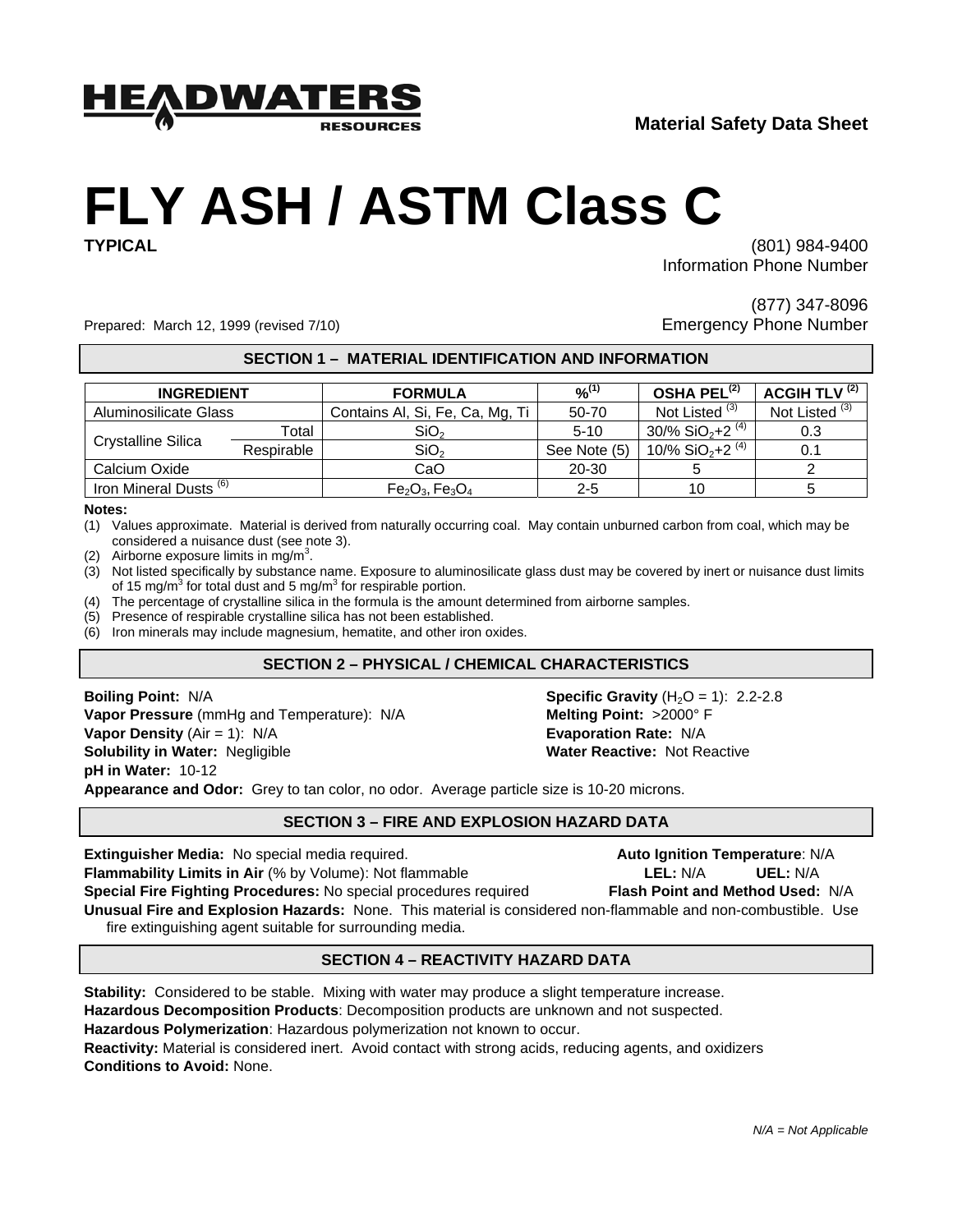

# **FLY ASH / ASTM Class C**

**TYPICAL** (801) 984-9400 Information Phone Number

Prepared: March 12, 1999 (revised 7/10) Channel Represents Controller Emergency Phone Number

(877) 347-8096

#### **SECTION 1 – MATERIAL IDENTIFICATION AND INFORMATION**

| <b>INGREDIENT</b>                 |            | <b>FORMULA</b>                  | $9/6^{(1)}$  | OSHA PEL $^{(2)}$                         | <b>ACGIH TLV (2)</b>      |
|-----------------------------------|------------|---------------------------------|--------------|-------------------------------------------|---------------------------|
| Aluminosilicate Glass             |            | Contains AI, Si, Fe, Ca, Mg, Ti | 50-70        | Not Listed <sup>(3)</sup>                 | Not Listed <sup>(3)</sup> |
| Crystalline Silica                | Total      | SiO <sub>2</sub>                | $5 - 10$     | $30\%$ SiO <sub>2</sub> +2 <sup>(4)</sup> | 0.3                       |
|                                   | Respirable | SiO <sub>2</sub>                | See Note (5) | 10/% SiO <sub>2</sub> +2 <sup>(4)</sup>   | 0.1                       |
| Calcium Oxide                     |            | CaO                             | 20-30        |                                           |                           |
| Iron Mineral Dusts <sup>(6)</sup> |            | $Fe_2O_3, Fe_3O_4$              | 2-5          | 10                                        |                           |

#### **Notes:**

- (1) Values approximate. Material is derived from naturally occurring coal. May contain unburned carbon from coal, which may be considered a nuisance dust (see note 3).
- (2) Airborne exposure limits in mg/m<sup>3</sup>.
- (3) Not listed specifically by substance name. Exposure to aluminosilicate glass dust may be covered by inert or nuisance dust limits of 15 mg/m<sup>3</sup> for total dust and 5 mg/m<sup>3</sup> for respirable portion.
- (4) The percentage of crystalline silica in the formula is the amount determined from airborne samples.
- (5) Presence of respirable crystalline silica has not been established.
- (6) Iron minerals may include magnesium, hematite, and other iron oxides.

# **SECTION 2 – PHYSICAL / CHEMICAL CHARACTERISTICS**

**Boiling Point:** N/A **Specific Gravity** (H<sub>2</sub>O = 1): 2.2-2.8 **Vapor Pressure** (mmHg and Temperature): N/A **Melting Point:** >2000° F **Vapor Density** (Air = 1): N/A **Evaporation Rate:** N/A **Solubility in Water:** Negligible **Water Reactive: Water Reactive:** Not Reactive **pH in Water:** 10-12

**Appearance and Odor:** Grey to tan color, no odor. Average particle size is 10-20 microns.

#### **SECTION 3 – FIRE AND EXPLOSION HAZARD DATA**

**Extinguisher Media:** No special media required. **Auto Ignition Temperature**: N/A **Flammability Limits in Air** (% by Volume): Not flammable **LEL:** N/A **UEL:** N/A **Special Fire Fighting Procedures:** No special procedures required **Flash Point and Method Used:** N/A **Unusual Fire and Explosion Hazards:** None. This material is considered non-flammable and non-combustible. Use fire extinguishing agent suitable for surrounding media.

# **SECTION 4 – REACTIVITY HAZARD DATA**

**Stability:** Considered to be stable. Mixing with water may produce a slight temperature increase. **Hazardous Decomposition Products**: Decomposition products are unknown and not suspected. **Hazardous Polymerization**: Hazardous polymerization not known to occur. **Reactivity:** Material is considered inert. Avoid contact with strong acids, reducing agents, and oxidizers **Conditions to Avoid:** None.